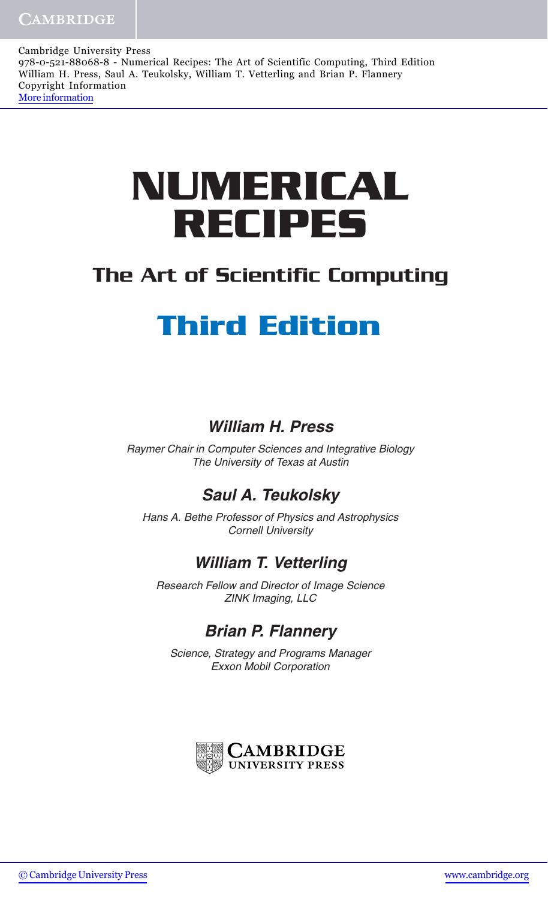Cambridge University Press 978-0-521-88068-8 - Numerical Recipes: The Art of Scientific Computing, Third Edition William H. Press, Saul A. Teukolsky, William T. Vetterling and Brian P. Flannery Copyright Information [More information](http://www.cambridge.org/0521880688)

# **NUMERICAL RECIPES**

## The Art of Scientific Computing

# **Third Edition**

#### **William H. Press**

Raymer Chair in Computer Sciences and Integrative Biology The University of Texas at Austin

#### **Saul A. Teukolsky**

Hans A. Bethe Professor of Physics and Astrophysics Cornell University

#### **William T. Vetterling**

Research Fellow and Director of Image Science ZINK Imaging, LLC

### **Brian P. Flannery**

Science, Strategy and Programs Manager Exxon Mobil Corporation